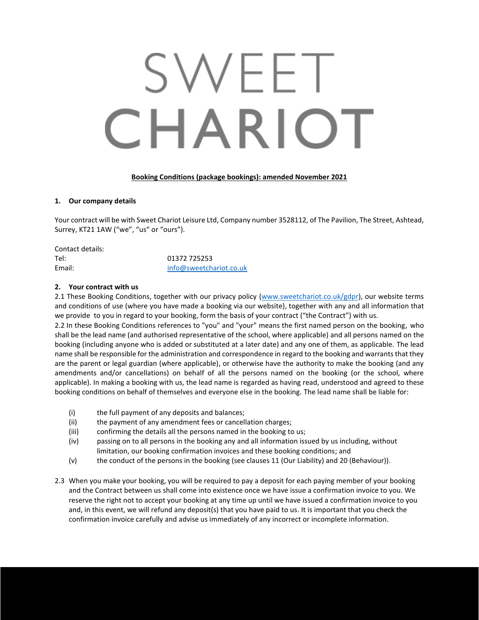# SWEET CHARIOT

# **Booking Conditions (package bookings): amended November 2021**

#### **1. Our company details**

Your contract will be with Sweet Chariot Leisure Ltd, Company number 3528112, of The Pavilion, The Street, Ashtead, Surrey, KT21 1AW ("we", "us" or "ours").

| Contact details: |                         |
|------------------|-------------------------|
| Tel:             | 01372 725253            |
| Email:           | info@sweetchariot.co.uk |

#### **2. Your contract with us**

2.1 These Booking Conditions, together with our privacy policy [\(www.sweetchariot.co.uk/gdpr\)](http://www.sweetchariot.co.uk/gdpr), our website terms and conditions of use (where you have made a booking via our website), together with any and all information that we provide to you in regard to your booking, form the basis of your contract ("the Contract") with us.

2.2 In these Booking Conditions references to "you" and "your" means the first named person on the booking, who shall be the lead name (and authorised representative of the school, where applicable) and all persons named on the booking (including anyone who is added or substituted at a later date) and any one of them, as applicable. The lead name shall be responsible for the administration and correspondence in regard to the booking and warrants that they are the parent or legal guardian (where applicable), or otherwise have the authority to make the booking (and any amendments and/or cancellations) on behalf of all the persons named on the booking (or the school, where applicable). In making a booking with us, the lead name is regarded as having read, understood and agreed to these booking conditions on behalf of themselves and everyone else in the booking. The lead name shall be liable for:

- (i) the full payment of any deposits and balances;
- (ii) the payment of any amendment fees or cancellation charges;
- (iii) confirming the details all the persons named in the booking to us;
- (iv) passing on to all persons in the booking any and all information issued by us including, without limitation, our booking confirmation invoices and these booking conditions; and
- (v) the conduct of the persons in the booking (see clauses 11 (Our Liability) and 20 (Behaviour)).
- 2.3 When you make your booking, you will be required to pay a deposit for each paying member of your booking and the Contract between us shall come into existence once we have issue a confirmation invoice to you. We reserve the right not to accept your booking at any time up until we have issued a confirmation invoice to you and, in this event, we will refund any deposit(s) that you have paid to us. It is important that you check the confirmation invoice carefully and advise us immediately of any incorrect or incomplete information.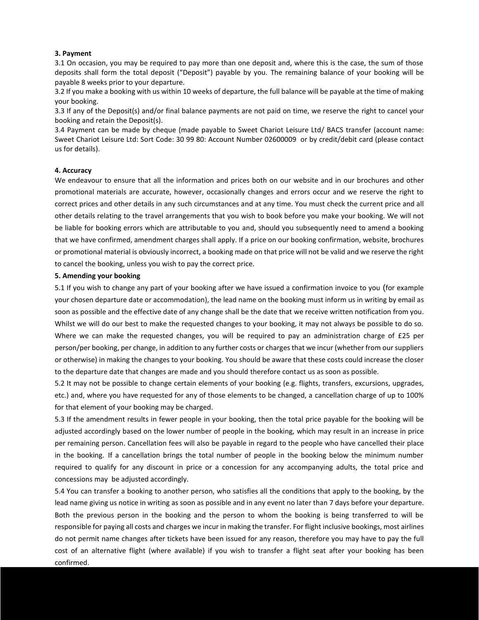#### **3. Payment**

3.1 On occasion, you may be required to pay more than one deposit and, where this is the case, the sum of those deposits shall form the total deposit ("Deposit") payable by you. The remaining balance of your booking will be payable 8 weeks prior to your departure.

3.2 If you make a booking with us within 10 weeks of departure, the full balance will be payable at the time of making your booking.

3.3 If any of the Deposit(s) and/or final balance payments are not paid on time, we reserve the right to cancel your booking and retain the Deposit(s).

3.4 Payment can be made by cheque (made payable to Sweet Chariot Leisure Ltd/ BACS transfer (account name: Sweet Chariot Leisure Ltd: Sort Code: 30 99 80: Account Number 02600009 or by credit/debit card (please contact us for details).

#### **4. Accuracy**

We endeavour to ensure that all the information and prices both on our website and in our brochures and other promotional materials are accurate, however, occasionally changes and errors occur and we reserve the right to correct prices and other details in any such circumstances and at any time. You must check the current price and all other details relating to the travel arrangements that you wish to book before you make your booking. We will not be liable for booking errors which are attributable to you and, should you subsequently need to amend a booking that we have confirmed, amendment charges shall apply. If a price on our booking confirmation, website, brochures or promotional material is obviously incorrect, a booking made on that price will not be valid and we reserve the right to cancel the booking, unless you wish to pay the correct price.

#### **5. Amending your booking**

5.1 If you wish to change any part of your booking after we have issued a confirmation invoice to you (for example your chosen departure date or accommodation), the lead name on the booking must inform us in writing by email as soon as possible and the effective date of any change shall be the date that we receive written notification from you. Whilst we will do our best to make the requested changes to your booking, it may not always be possible to do so. Where we can make the requested changes, you will be required to pay an administration charge of £25 per person/per booking, per change, in addition to any further costs or charges that we incur (whether from our suppliers or otherwise) in making the changes to your booking. You should be aware that these costs could increase the closer to the departure date that changes are made and you should therefore contact us as soon as possible.

5.2 It may not be possible to change certain elements of your booking (e.g. flights, transfers, excursions, upgrades, etc.) and, where you have requested for any of those elements to be changed, a cancellation charge of up to 100% for that element of your booking may be charged.

5.3 If the amendment results in fewer people in your booking, then the total price payable for the booking will be adjusted accordingly based on the lower number of people in the booking, which may result in an increase in price per remaining person. Cancellation fees will also be payable in regard to the people who have cancelled their place in the booking. If a cancellation brings the total number of people in the booking below the minimum number required to qualify for any discount in price or a concession for any accompanying adults, the total price and concessions may be adjusted accordingly.

5.4 You can transfer a booking to another person, who satisfies all the conditions that apply to the booking, by the lead name giving us notice in writing as soon as possible and in any event no later than 7 days before your departure. Both the previous person in the booking and the person to whom the booking is being transferred to will be responsible for paying all costs and charges we incur in making the transfer. For flight inclusive bookings, most airlines do not permit name changes after tickets have been issued for any reason, therefore you may have to pay the full cost of an alternative flight (where available) if you wish to transfer a flight seat after your booking has been confirmed.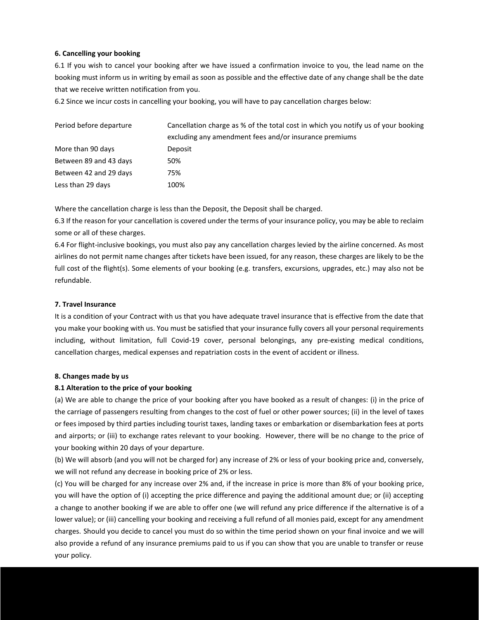# **6. Cancelling your booking**

6.1 If you wish to cancel your booking after we have issued a confirmation invoice to you, the lead name on the booking must inform us in writing by email as soon as possible and the effective date of any change shall be the date that we receive written notification from you.

6.2 Since we incur costs in cancelling your booking, you will have to pay cancellation charges below:

| Period before departure | Cancellation charge as % of the total cost in which you notify us of your booking<br>excluding any amendment fees and/or insurance premiums |  |
|-------------------------|---------------------------------------------------------------------------------------------------------------------------------------------|--|
|                         |                                                                                                                                             |  |
| More than 90 days       | Deposit                                                                                                                                     |  |
| Between 89 and 43 days  | 50%                                                                                                                                         |  |
| Between 42 and 29 days  | 75%                                                                                                                                         |  |
| Less than 29 days       | 100%                                                                                                                                        |  |

Where the cancellation charge is less than the Deposit, the Deposit shall be charged.

6.3 If the reason for your cancellation is covered under the terms of your insurance policy, you may be able to reclaim some or all of these charges.

6.4 For flight-inclusive bookings, you must also pay any cancellation charges levied by the airline concerned. As most airlines do not permit name changes after tickets have been issued, for any reason, these charges are likely to be the full cost of the flight(s). Some elements of your booking (e.g. transfers, excursions, upgrades, etc.) may also not be refundable.

# **7. Travel Insurance**

It is a condition of your Contract with us that you have adequate travel insurance that is effective from the date that you make your booking with us. You must be satisfied that your insurance fully covers all your personal requirements including, without limitation, full Covid-19 cover, personal belongings, any pre-existing medical conditions, cancellation charges, medical expenses and repatriation costs in the event of accident or illness.

#### **8. Changes made by us**

# **8.1 Alteration to the price of your booking**

(a) We are able to change the price of your booking after you have booked as a result of changes: (i) in the price of the carriage of passengers resulting from changes to the cost of fuel or other power sources; (ii) in the level of taxes or fees imposed by third parties including tourist taxes, landing taxes or embarkation or disembarkation fees at ports and airports; or (iii) to exchange rates relevant to your booking. However, there will be no change to the price of your booking within 20 days of your departure.

(b) We will absorb (and you will not be charged for) any increase of 2% or less of your booking price and, conversely, we will not refund any decrease in booking price of 2% or less.

(c) You will be charged for any increase over 2% and, if the increase in price is more than 8% of your booking price, you will have the option of (i) accepting the price difference and paying the additional amount due; or (ii) accepting a change to another booking if we are able to offer one (we will refund any price difference if the alternative is of a lower value); or (iii) cancelling your booking and receiving a full refund of all monies paid, except for any amendment charges. Should you decide to cancel you must do so within the time period shown on your final invoice and we will also provide a refund of any insurance premiums paid to us if you can show that you are unable to transfer or reuse your policy.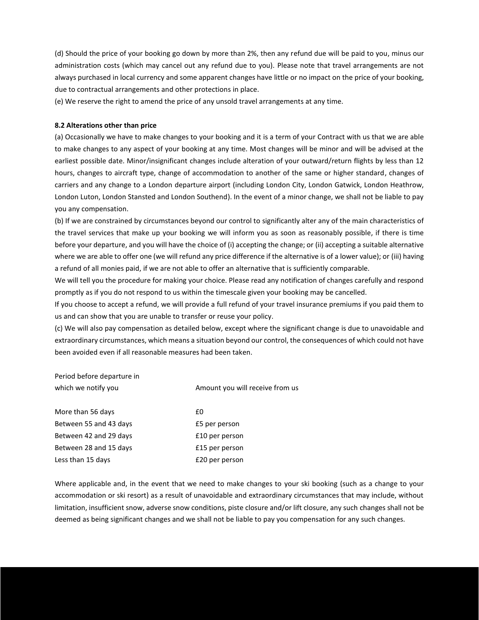(d) Should the price of your booking go down by more than 2%, then any refund due will be paid to you, minus our administration costs (which may cancel out any refund due to you). Please note that travel arrangements are not always purchased in local currency and some apparent changes have little or no impact on the price of your booking, due to contractual arrangements and other protections in place.

(e) We reserve the right to amend the price of any unsold travel arrangements at any time.

#### **8.2 Alterations other than price**

(a) Occasionally we have to make changes to your booking and it is a term of your Contract with us that we are able to make changes to any aspect of your booking at any time. Most changes will be minor and will be advised at the earliest possible date. Minor/insignificant changes include alteration of your outward/return flights by less than 12 hours, changes to aircraft type, change of accommodation to another of the same or higher standard, changes of carriers and any change to a London departure airport (including London City, London Gatwick, London Heathrow, London Luton, London Stansted and London Southend). In the event of a minor change, we shall not be liable to pay you any compensation.

(b) If we are constrained by circumstances beyond our control to significantly alter any of the main characteristics of the travel services that make up your booking we will inform you as soon as reasonably possible, if there is time before your departure, and you will have the choice of (i) accepting the change; or (ii) accepting a suitable alternative where we are able to offer one (we will refund any price difference if the alternative is of a lower value); or (iii) having a refund of all monies paid, if we are not able to offer an alternative that is sufficiently comparable.

We will tell you the procedure for making your choice. Please read any notification of changes carefully and respond promptly as if you do not respond to us within the timescale given your booking may be cancelled.

If you choose to accept a refund, we will provide a full refund of your travel insurance premiums if you paid them to us and can show that you are unable to transfer or reuse your policy.

(c) We will also pay compensation as detailed below, except where the significant change is due to unavoidable and extraordinary circumstances, which means a situation beyond our control, the consequences of which could not have been avoided even if all reasonable measures had been taken.

# Period before departure in which we notify you and the state of the Amount you will receive from us

More than 56 days **ED** Between 55 and 43 days E5 per person Between 42 and 29 days E10 per person

Between 28 and 15 days E15 per person Less than 15 days **E20** per person

Where applicable and, in the event that we need to make changes to your ski booking (such as a change to your accommodation or ski resort) as a result of unavoidable and extraordinary circumstances that may include, without limitation, insufficient snow, adverse snow conditions, piste closure and/or lift closure, any such changes shall not be deemed as being significant changes and we shall not be liable to pay you compensation for any such changes.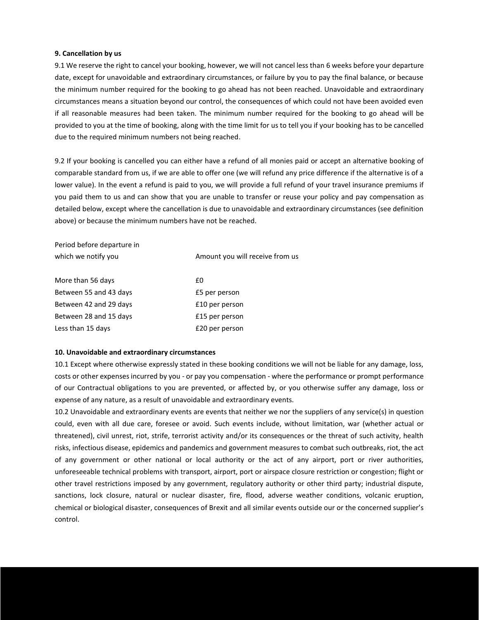#### **9. Cancellation by us**

9.1 We reserve the right to cancel your booking, however, we will not cancel less than 6 weeks before your departure date, except for unavoidable and extraordinary circumstances, or failure by you to pay the final balance, or because the minimum number required for the booking to go ahead has not been reached. Unavoidable and extraordinary circumstances means a situation beyond our control, the consequences of which could not have been avoided even if all reasonable measures had been taken. The minimum number required for the booking to go ahead will be provided to you at the time of booking, along with the time limit for us to tell you if your booking has to be cancelled due to the required minimum numbers not being reached.

9.2 If your booking is cancelled you can either have a refund of all monies paid or accept an alternative booking of comparable standard from us, if we are able to offer one (we will refund any price difference if the alternative is of a lower value). In the event a refund is paid to you, we will provide a full refund of your travel insurance premiums if you paid them to us and can show that you are unable to transfer or reuse your policy and pay compensation as detailed below, except where the cancellation is due to unavoidable and extraordinary circumstances (see definition above) or because the minimum numbers have not be reached.

Period before departure in which we notify you and the state of the Muslim Amount you will receive from us

| More than 56 days      | fΩ             |
|------------------------|----------------|
| Between 55 and 43 days | £5 per person  |
| Between 42 and 29 days | £10 per person |
| Between 28 and 15 days | £15 per person |
| Less than 15 days      | £20 per person |

#### **10. Unavoidable and extraordinary circumstances**

10.1 Except where otherwise expressly stated in these booking conditions we will not be liable for any damage, loss, costs or other expenses incurred by you - or pay you compensation - where the performance or prompt performance of our Contractual obligations to you are prevented, or affected by, or you otherwise suffer any damage, loss or expense of any nature, as a result of unavoidable and extraordinary events.

10.2 Unavoidable and extraordinary events are events that neither we nor the suppliers of any service(s) in question could, even with all due care, foresee or avoid. Such events include, without limitation, war (whether actual or threatened), civil unrest, riot, strife, terrorist activity and/or its consequences or the threat of such activity, health risks, infectious disease, epidemics and pandemics and government measures to combat such outbreaks, riot, the act of any government or other national or local authority or the act of any airport, port or river authorities, unforeseeable technical problems with transport, airport, port or airspace closure restriction or congestion; flight or other travel restrictions imposed by any government, regulatory authority or other third party; industrial dispute, sanctions, lock closure, natural or nuclear disaster, fire, flood, adverse weather conditions, volcanic eruption, chemical or biological disaster, consequences of Brexit and all similar events outside our or the concerned supplier's control.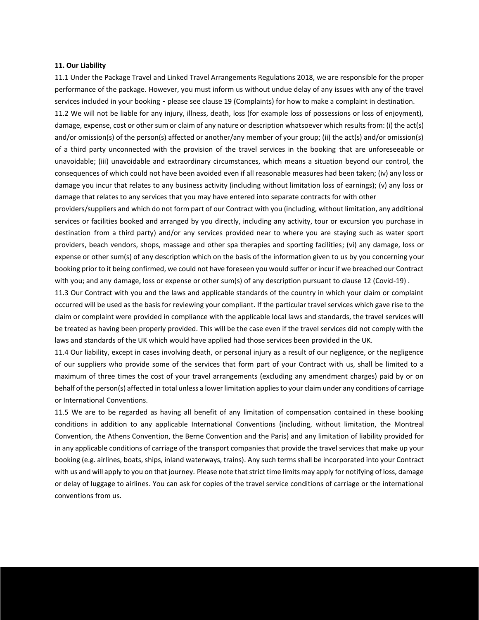#### **11. Our Liability**

11.1 Under the Package Travel and Linked Travel Arrangements Regulations 2018, we are responsible for the proper performance of the package. However, you must inform us without undue delay of any issues with any of the travel services included in your booking - please see clause 19 (Complaints) for how to make a complaint in destination.

11.2 We will not be liable for any injury, illness, death, loss (for example loss of possessions or loss of enjoyment), damage, expense, cost or other sum or claim of any nature or description whatsoever which results from: (i) the act(s) and/or omission(s) of the person(s) affected or another/any member of your group; (ii) the act(s) and/or omission(s) of a third party unconnected with the provision of the travel services in the booking that are unforeseeable or unavoidable; (iii) unavoidable and extraordinary circumstances, which means a situation beyond our control, the consequences of which could not have been avoided even if all reasonable measures had been taken; (iv) any loss or damage you incur that relates to any business activity (including without limitation loss of earnings); (v) any loss or damage that relates to any services that you may have entered into separate contracts for with other

providers/suppliers and which do not form part of our Contract with you (including, without limitation, any additional services or facilities booked and arranged by you directly, including any activity, tour or excursion you purchase in destination from a third party) and/or any services provided near to where you are staying such as water sport providers, beach vendors, shops, massage and other spa therapies and sporting facilities; (vi) any damage, loss or expense or other sum(s) of any description which on the basis of the information given to us by you concerning your booking prior to it being confirmed, we could not have foreseen you would suffer or incur if we breached our Contract with you; and any damage, loss or expense or other sum(s) of any description pursuant to clause 12 (Covid-19) .

11.3 Our Contract with you and the laws and applicable standards of the country in which your claim or complaint occurred will be used as the basis for reviewing your compliant. If the particular travel services which gave rise to the claim or complaint were provided in compliance with the applicable local laws and standards, the travel services will be treated as having been properly provided. This will be the case even if the travel services did not comply with the laws and standards of the UK which would have applied had those services been provided in the UK.

11.4 Our liability, except in cases involving death, or personal injury as a result of our negligence, or the negligence of our suppliers who provide some of the services that form part of your Contract with us, shall be limited to a maximum of three times the cost of your travel arrangements (excluding any amendment charges) paid by or on behalf of the person(s) affected in total unless a lower limitation applies to your claim under any conditions of carriage or International Conventions.

11.5 We are to be regarded as having all benefit of any limitation of compensation contained in these booking conditions in addition to any applicable International Conventions (including, without limitation, the Montreal Convention, the Athens Convention, the Berne Convention and the Paris) and any limitation of liability provided for in any applicable conditions of carriage of the transport companies that provide the travel services that make up your booking (e.g. airlines, boats, ships, inland waterways, trains). Any such terms shall be incorporated into your Contract with us and will apply to you on that journey. Please note that strict time limits may apply for notifying of loss, damage or delay of luggage to airlines. You can ask for copies of the travel service conditions of carriage or the international conventions from us.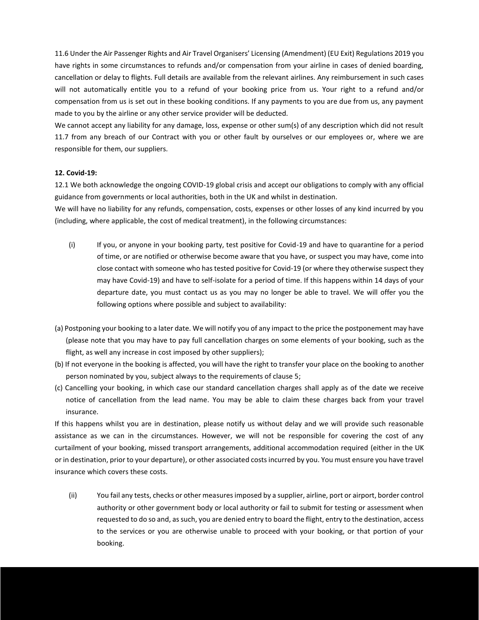11.6 Under the Air Passenger Rights and Air Travel Organisers' Licensing (Amendment) (EU Exit) Regulations 2019 you have rights in some circumstances to refunds and/or compensation from your airline in cases of denied boarding, cancellation or delay to flights. Full details are available from the relevant airlines. Any reimbursement in such cases will not automatically entitle you to a refund of your booking price from us. Your right to a refund and/or compensation from us is set out in these booking conditions. If any payments to you are due from us, any payment made to you by the airline or any other service provider will be deducted.

We cannot accept any liability for any damage, loss, expense or other sum(s) of any description which did not result 11.7 from any breach of our Contract with you or other fault by ourselves or our employees or, where we are responsible for them, our suppliers.

#### **12. Covid-19:**

12.1 We both acknowledge the ongoing COVID-19 global crisis and accept our obligations to comply with any official guidance from governments or local authorities, both in the UK and whilst in destination.

We will have no liability for any refunds, compensation, costs, expenses or other losses of any kind incurred by you (including, where applicable, the cost of medical treatment), in the following circumstances:

- (i) If you, or anyone in your booking party, test positive for Covid-19 and have to quarantine for a period of time, or are notified or otherwise become aware that you have, or suspect you may have, come into close contact with someone who has tested positive for Covid-19 (or where they otherwise suspect they may have Covid-19) and have to self-isolate for a period of time. If this happens within 14 days of your departure date, you must contact us as you may no longer be able to travel. We will offer you the following options where possible and subject to availability:
- (a) Postponing your booking to a later date. We will notify you of any impact to the price the postponement may have (please note that you may have to pay full cancellation charges on some elements of your booking, such as the flight, as well any increase in cost imposed by other suppliers);
- (b) If not everyone in the booking is affected, you will have the right to transfer your place on the booking to another person nominated by you, subject always to the requirements of clause 5;
- (c) Cancelling your booking, in which case our standard cancellation charges shall apply as of the date we receive notice of cancellation from the lead name. You may be able to claim these charges back from your travel insurance.

If this happens whilst you are in destination, please notify us without delay and we will provide such reasonable assistance as we can in the circumstances. However, we will not be responsible for covering the cost of any curtailment of your booking, missed transport arrangements, additional accommodation required (either in the UK or in destination, prior to your departure), or other associated costs incurred by you. You must ensure you have travel insurance which covers these costs.

(ii) You fail any tests, checks or other measures imposed by a supplier, airline, port or airport, border control authority or other government body or local authority or fail to submit for testing or assessment when requested to do so and, as such, you are denied entry to board the flight, entry to the destination, access to the services or you are otherwise unable to proceed with your booking, or that portion of your booking.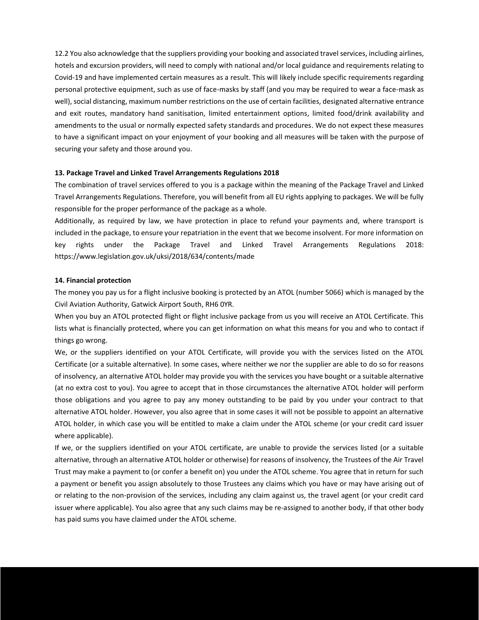12.2 You also acknowledge that the suppliers providing your booking and associated travel services, including airlines, hotels and excursion providers, will need to comply with national and/or local guidance and requirements relating to Covid-19 and have implemented certain measures as a result. This will likely include specific requirements regarding personal protective equipment, such as use of face-masks by staff (and you may be required to wear a face-mask as well), social distancing, maximum number restrictions on the use of certain facilities, designated alternative entrance and exit routes, mandatory hand sanitisation, limited entertainment options, limited food/drink availability and amendments to the usual or normally expected safety standards and procedures. We do not expect these measures to have a significant impact on your enjoyment of your booking and all measures will be taken with the purpose of securing your safety and those around you.

#### **13. Package Travel and Linked Travel Arrangements Regulations 2018**

The combination of travel services offered to you is a package within the meaning of the Package Travel and Linked Travel Arrangements Regulations. Therefore, you will benefit from all EU rights applying to packages. We will be fully responsible for the proper performance of the package as a whole.

Additionally, as required by law, we have protection in place to refund your payments and, where transport is included in the package, to ensure your repatriation in the event that we become insolvent. For more information on key rights under the Package Travel and Linked Travel Arrangements Regulations 2018: https://www.legislation.gov.uk/uksi/2018/634/contents/made

#### **14. Financial protection**

The money you pay us for a flight inclusive booking is protected by an ATOL (number 5066) which is managed by the Civil Aviation Authority, Gatwick Airport South, RH6 0YR.

When you buy an ATOL protected flight or flight inclusive package from us you will receive an ATOL Certificate. This lists what is financially protected, where you can get information on what this means for you and who to contact if things go wrong.

We, or the suppliers identified on your ATOL Certificate, will provide you with the services listed on the ATOL Certificate (or a suitable alternative). In some cases, where neither we nor the supplier are able to do so for reasons of insolvency, an alternative ATOL holder may provide you with the services you have bought or a suitable alternative (at no extra cost to you). You agree to accept that in those circumstances the alternative ATOL holder will perform those obligations and you agree to pay any money outstanding to be paid by you under your contract to that alternative ATOL holder. However, you also agree that in some cases it will not be possible to appoint an alternative ATOL holder, in which case you will be entitled to make a claim under the ATOL scheme (or your credit card issuer where applicable).

If we, or the suppliers identified on your ATOL certificate, are unable to provide the services listed (or a suitable alternative, through an alternative ATOL holder or otherwise) for reasons of insolvency, the Trustees of the Air Travel Trust may make a payment to (or confer a benefit on) you under the ATOL scheme. You agree that in return for such a payment or benefit you assign absolutely to those Trustees any claims which you have or may have arising out of or relating to the non-provision of the services, including any claim against us, the travel agent (or your credit card issuer where applicable). You also agree that any such claims may be re-assigned to another body, if that other body has paid sums you have claimed under the ATOL scheme.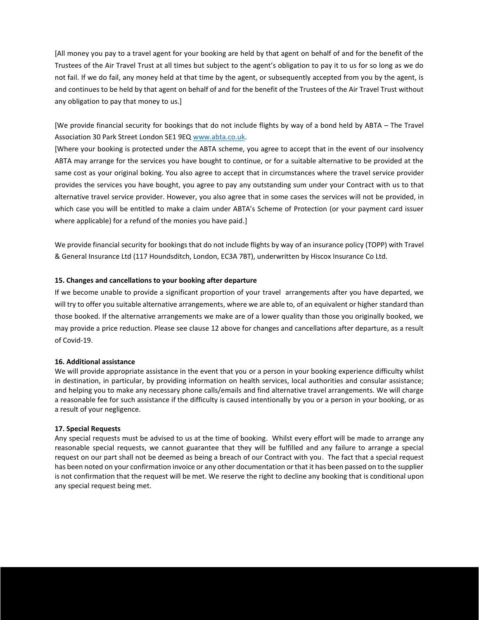[All money you pay to a travel agent for your booking are held by that agent on behalf of and for the benefit of the Trustees of the Air Travel Trust at all times but subject to the agent's obligation to pay it to us for so long as we do not fail. If we do fail, any money held at that time by the agent, or subsequently accepted from you by the agent, is and continues to be held by that agent on behalf of and for the benefit of the Trustees of the Air Travel Trust without any obligation to pay that money to us.]

[We provide financial security for bookings that do not include flights by way of a bond held by ABTA – The Travel Association 30 Park Street London SE1 9EQ [www.abta.co.uk.](http://www.abta.co.uk/)

[Where your booking is protected under the ABTA scheme, you agree to accept that in the event of our insolvency ABTA may arrange for the services you have bought to continue, or for a suitable alternative to be provided at the same cost as your original boking. You also agree to accept that in circumstances where the travel service provider provides the services you have bought, you agree to pay any outstanding sum under your Contract with us to that alternative travel service provider. However, you also agree that in some cases the services will not be provided, in which case you will be entitled to make a claim under ABTA's Scheme of Protection (or your payment card issuer where applicable) for a refund of the monies you have paid.]

We provide financial security for bookings that do not include flights by way of an insurance policy (TOPP) with Travel & General Insurance Ltd (117 Houndsditch, London, EC3A 7BT), underwritten by Hiscox Insurance Co Ltd.

#### **15. Changes and cancellations to your booking after departure**

If we become unable to provide a significant proportion of your travel arrangements after you have departed, we will try to offer you suitable alternative arrangements, where we are able to, of an equivalent or higher standard than those booked. If the alternative arrangements we make are of a lower quality than those you originally booked, we may provide a price reduction. Please see clause 12 above for changes and cancellations after departure, as a result of Covid-19.

#### **16. Additional assistance**

We will provide appropriate assistance in the event that you or a person in your booking experience difficulty whilst in destination, in particular, by providing information on health services, local authorities and consular assistance; and helping you to make any necessary phone calls/emails and find alternative travel arrangements. We will charge a reasonable fee for such assistance if the difficulty is caused intentionally by you or a person in your booking, or as a result of your negligence.

# **17. Special Requests**

Any special requests must be advised to us at the time of booking. Whilst every effort will be made to arrange any reasonable special requests, we cannot guarantee that they will be fulfilled and any failure to arrange a special request on our part shall not be deemed as being a breach of our Contract with you. The fact that a special request has been noted on your confirmation invoice or any other documentation or that it has been passed on to the supplier is not confirmation that the request will be met. We reserve the right to decline any booking that is conditional upon any special request being met.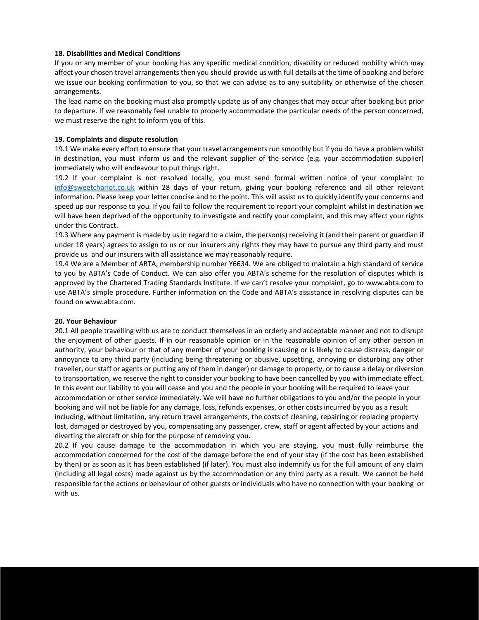#### **18. Disabilities and Medical Conditions**

If you or any member of your booking has any specific medical condition, disability or reduced mobility which may affect your chosen travel arrangements then you should provide us with full details at the time of booking and before we issue our booking confirmation to you, so that we can advise as to any suitability or otherwise of the chosen arrangements.

The lead name on the booking must also promptly update us of any changes that may occur after booking but prior to departure. If we reasonably feel unable to properly accommodate the particular needs of the person concerned, we must reserve the right to inform you of this.

# **19. Complaints and dispute resolution**

19.1 We make every effort to ensure that your travel arrangements run smoothly but if you do have a problem whilst in destination, you must inform us and the relevant supplier of the service (e.g. your accommodation supplier) immediately who will endeavour to put things right.

19.2 If your complaint is not resolved locally, you must send formal written notice of your complaint to [info@sweetchariot.co.uk](mailto:info@sweetchariot.co.uk) within 28 days of your return, giving your booking reference and all other relevant information. Please keep your letter concise and to the point. This will assist us to quickly identify your concerns and speed up our response to you. If you fail to follow the requirement to report your complaint whilst in destination we will have been deprived of the opportunity to investigate and rectify your complaint, and this may affect your rights under this Contract.

19.3 Where any payment is made by us in regard to a claim, the person(s) receiving it (and their parent or guardian if under 18 years) agrees to assign to us or our insurers any rights they may have to pursue any third party and must provide us and our insurers with all assistance we may reasonably require.

19.4 We are a Member of ABTA, membership number Y6634. We are obliged to maintain a high standard of service to you by ABTA's Code of Conduct. We can also offer you ABTA's scheme for the resolution of disputes which is approved by the Chartered Trading Standards Institute. If we can't resolve your complaint, go to www.abta.com to use ABTA's simple procedure. Further information on the Code and ABTA's assistance in resolving disputes can be found on www.abta.com.

#### **20. Your Behaviour**

20.1 All people travelling with us are to conduct themselves in an orderly and acceptable manner and not to disrupt the enjoyment of other guests. If in our reasonable opinion or in the reasonable opinion of any other person in authority, your behaviour or that of any member of your booking is causing or is likely to cause distress, danger or annoyance to any third party (including being threatening or abusive, upsetting, annoying or disturbing any other traveller, our staff or agents or putting any of them in danger) or damage to property, or to cause a delay or diversion to transportation, we reserve the right to consider your booking to have been cancelled by you with immediate effect. In this event our liability to you will cease and you and the people in your booking will be required to leave your accommodation or other service immediately. We will have no further obligations to you and/or the people in your booking and will not be liable for any damage, loss, refunds expenses, or other costs incurred by you as a result including, without limitation, any return travel arrangements, the costs of cleaning, repairing or replacing property lost, damaged or destroyed by you, compensating any passenger, crew, staff or agent affected by your actions and diverting the aircraft or ship for the purpose of removing you.

20.2 If you cause damage to the accommodation in which you are staying, you must fully reimburse the accommodation concerned for the cost of the damage before the end of your stay (if the cost has been established by then) or as soon as it has been established (if later). You must also indemnify us for the full amount of any claim (including all legal costs) made against us by the accommodation or any third party as a result. We cannot be held responsible for the actions or behaviour of other guests or individuals who have no connection with your booking or with us.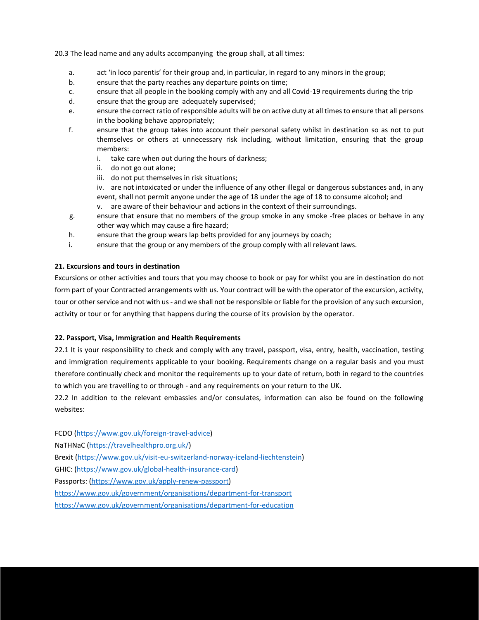20.3 The lead name and any adults accompanying the group shall, at all times:

- a. act 'in loco parentis' for their group and, in particular, in regard to any minors in the group;
- b. ensure that the party reaches any departure points on time;
- c. ensure that all people in the booking comply with any and all Covid-19 requirements during the trip
- d. ensure that the group are adequately supervised;
- e. ensure the correct ratio of responsible adults will be on active duty at all times to ensure that all persons in the booking behave appropriately;
- f. ensure that the group takes into account their personal safety whilst in destination so as not to put themselves or others at unnecessary risk including, without limitation, ensuring that the group members:
	- i. take care when out during the hours of darkness;
	- ii. do not go out alone;
	- iii. do not put themselves in risk situations;
	- iv. are not intoxicated or under the influence of any other illegal or dangerous substances and, in any event, shall not permit anyone under the age of 18 under the age of 18 to consume alcohol; and
	- v. are aware of their behaviour and actions in the context of their surroundings.
- g. ensure that ensure that no members of the group smoke in any smoke -free places or behave in any other way which may cause a fire hazard;
- h. ensure that the group wears lap belts provided for any journeys by coach;
- i. ensure that the group or any members of the group comply with all relevant laws.

#### **21. Excursions and tours in destination**

Excursions or other activities and tours that you may choose to book or pay for whilst you are in destination do not form part of your Contracted arrangements with us. Your contract will be with the operator of the excursion, activity, tour or other service and not with us - and we shall not be responsible or liable for the provision of any such excursion, activity or tour or for anything that happens during the course of its provision by the operator.

#### **22. Passport, Visa, Immigration and Health Requirements**

22.1 It is your responsibility to check and comply with any travel, passport, visa, entry, health, vaccination, testing and immigration requirements applicable to your booking. Requirements change on a regular basis and you must therefore continually check and monitor the requirements up to your date of return, both in regard to the countries to which you are travelling to or through - and any requirements on your return to the UK.

22.2 In addition to the relevant embassies and/or consulates, information can also be found on the following websites:

FCDO [\(https://www.gov.uk/foreign-travel-advice\)](https://www.gov.uk/foreign-travel-advice) NaTHNaC [\(https://travelhealthpro.org.uk/\)](https://travelhealthpro.org.uk/) Brexit [\(https://www.gov.uk/visit-eu-switzerland-norway-iceland-liechtenstein\)](https://www.gov.uk/visit-eu-switzerland-norway-iceland-liechtenstein) GHIC: [\(https://www.gov.uk/global-health-insurance-card\)](https://www.gov.uk/global-health-insurance-card) Passports: [\(https://www.gov.uk/apply-renew-passport\)](https://www.gov.uk/apply-renew-passport)

<https://www.gov.uk/government/organisations/department-for-transport>

<https://www.gov.uk/government/organisations/department-for-education>